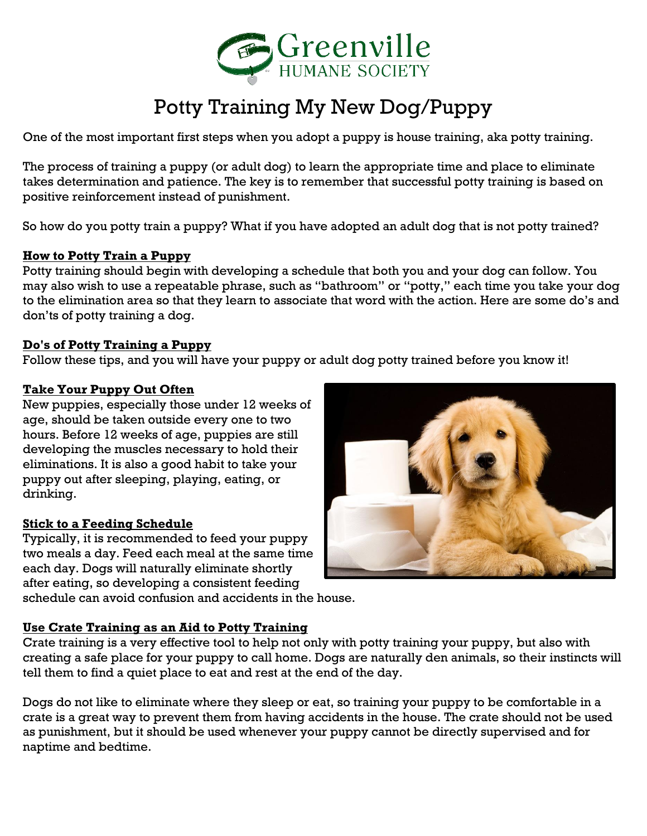

# Potty Training My New Dog/Puppy

One of the most important first steps when you adopt a puppy is house training, aka potty training.

The process of training a puppy (or adult dog) to learn the appropriate time and place to eliminate takes determination and patience. The key is to remember that successful potty training is based on positive reinforcement instead of punishment.

So how do you potty train a puppy? What if you have adopted an adult dog that is not potty trained?

## **How to Potty Train a Puppy**

Potty training should begin with developing a schedule that both you and your dog can follow. You may also wish to use a repeatable phrase, such as "bathroom" or "potty," each time you take your dog to the elimination area so that they learn to associate that word with the action. Here are some do's and don'ts of potty training a dog.

#### **Do's of Potty Training a Puppy**

Follow these tips, and you will have your puppy or adult dog potty trained before you know it!

## **Take Your Puppy Out Often**

New puppies, especially those under 12 weeks of age, should be taken outside every one to two hours. Before 12 weeks of age, puppies are still developing the muscles necessary to hold their eliminations. It is also a good habit to take your puppy out after sleeping, playing, eating, or drinking.

#### **Stick to a Feeding Schedule**

Typically, it is recommended to feed your puppy two meals a day. Feed each meal at the same time each day. Dogs will naturally eliminate shortly after eating, so developing a consistent feeding schedule can avoid confusion and accidents in the house.



#### **Use Crate Training as an Aid to Potty Training**

Crate training is a very effective tool to help not only with potty training your puppy, but also with creating a safe place for your puppy to call home. Dogs are naturally den animals, so their instincts will tell them to find a quiet place to eat and rest at the end of the day.

Dogs do not like to eliminate where they sleep or eat, so training your puppy to be comfortable in a crate is a great way to prevent them from having accidents in the house. The crate should not be used as punishment, but it should be used whenever your puppy cannot be directly supervised and for naptime and bedtime.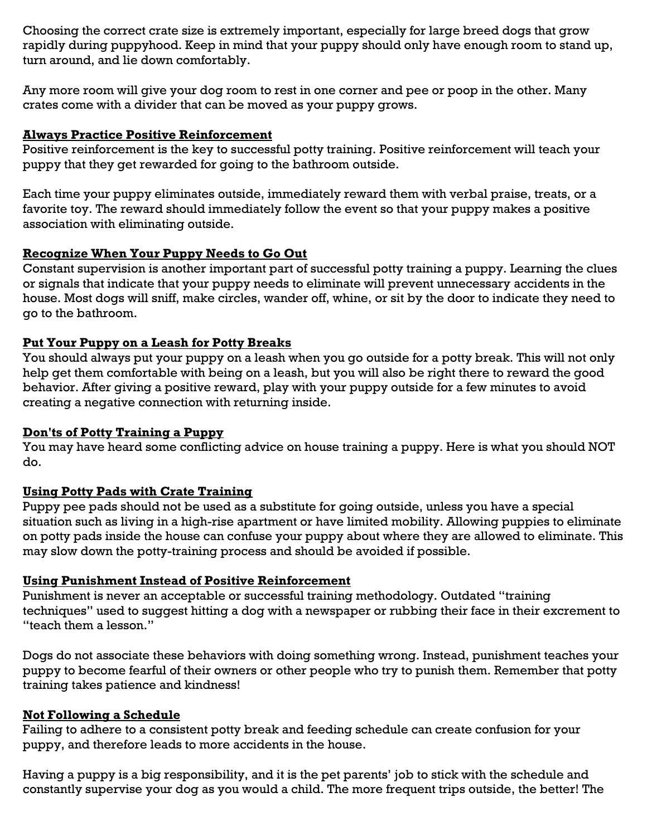Choosing the correct crate size is extremely important, especially for large breed dogs that grow rapidly during puppyhood. Keep in mind that your puppy should only have enough room to stand up, turn around, and lie down comfortably.

Any more room will give your dog room to rest in one corner and pee or poop in the other. Many crates come with a divider that can be moved as your puppy grows.

#### **Always Practice Positive Reinforcement**

Positive reinforcement is the key to successful potty training. Positive reinforcement will teach your puppy that they get rewarded for going to the bathroom outside.

Each time your puppy eliminates outside, immediately reward them with verbal praise, treats, or a favorite toy. The reward should immediately follow the event so that your puppy makes a positive association with eliminating outside.

## **Recognize When Your Puppy Needs to Go Out**

Constant supervision is another important part of successful potty training a puppy. Learning the clues or signals that indicate that your puppy needs to eliminate will prevent unnecessary accidents in the house. Most dogs will sniff, make circles, wander off, whine, or sit by the door to indicate they need to go to the bathroom.

## **Put Your Puppy on a Leash for Potty Breaks**

You should always put your puppy on a leash when you go outside for a potty break. This will not only help get them comfortable with being on a leash, but you will also be right there to reward the good behavior. After giving a positive reward, play with your puppy outside for a few minutes to avoid creating a negative connection with returning inside.

#### **Don'ts of Potty Training a Puppy**

You may have heard some conflicting advice on house training a puppy. Here is what you should NOT do.

# **Using Potty Pads with Crate Training**

Puppy pee pads should not be used as a substitute for going outside, unless you have a special situation such as living in a high-rise apartment or have limited mobility. Allowing puppies to eliminate on potty pads inside the house can confuse your puppy about where they are allowed to eliminate. This may slow down the potty-training process and should be avoided if possible.

#### **Using Punishment Instead of Positive Reinforcement**

Punishment is never an acceptable or successful training methodology. Outdated "training techniques" used to suggest hitting a dog with a newspaper or rubbing their face in their excrement to "teach them a lesson."

Dogs do not associate these behaviors with doing something wrong. Instead, punishment teaches your puppy to become fearful of their owners or other people who try to punish them. Remember that potty training takes patience and kindness!

#### **Not Following a Schedule**

Failing to adhere to a consistent potty break and feeding schedule can create confusion for your puppy, and therefore leads to more accidents in the house.

Having a puppy is a big responsibility, and it is the pet parents' job to stick with the schedule and constantly supervise your dog as you would a child. The more frequent trips outside, the better! The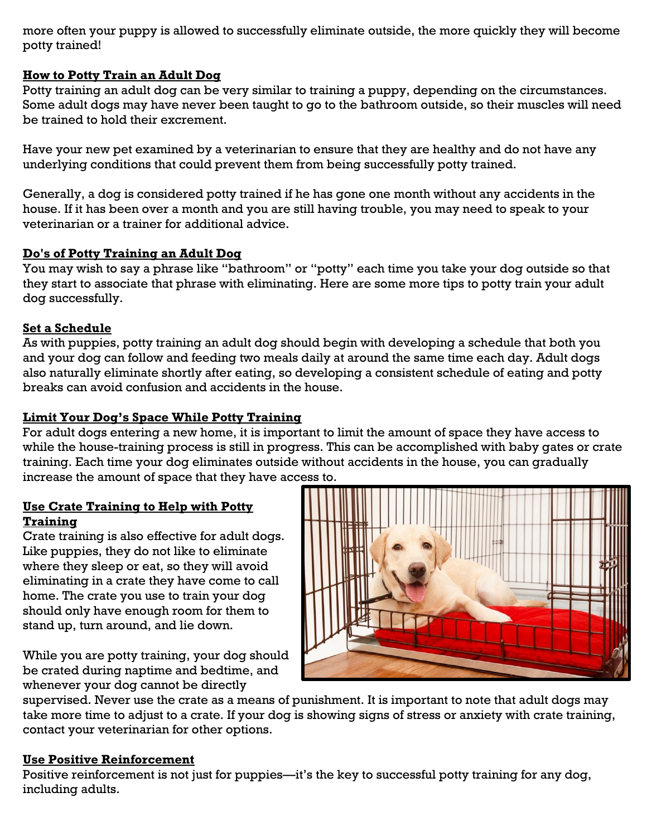more often your puppy is allowed to successfully eliminate outside, the more quickly they will become potty trained!

# **How to Potty Train an Adult Dog**

Potty training an adult dog can be very similar to training a puppy, depending on the circumstances. Some adult dogs may have never been taught to go to the bathroom outside, so their muscles will need be trained to hold their excrement.

Have your new pet examined by a veterinarian to ensure that they are healthy and do not have any underlying conditions that could prevent them from being successfully potty trained.

Generally, a dog is considered potty trained if he has gone one month without any accidents in the house. If it has been over a month and you are still having trouble, you may need to speak to your veterinarian or a trainer for additional advice.

## **Do's of Potty Training an Adult Dog**

You may wish to say a phrase like "bathroom" or "potty" each time you take your dog outside so that they start to associate that phrase with eliminating. Here are some more tips to potty train your adult dog successfully.

## **Set a Schedule**

As with puppies, potty training an adult dog should begin with developing a schedule that both you and your dog can follow and feeding two meals daily at around the same time each day. Adult dogs also naturally eliminate shortly after eating, so developing a consistent schedule of eating and potty breaks can avoid confusion and accidents in the house.

# **Limit Your Dog's Space While Potty Training**

For adult dogs entering a new home, it is important to limit the amount of space they have access to while the house-training process is still in progress. This can be accomplished with baby gates or crate training. Each time your dog eliminates outside without accidents in the house, you can gradually increase the amount of space that they have access to.

## **Use Crate Training to Help with Potty Training**

Crate training is also effective for adult dogs. Like puppies, they do not like to eliminate where they sleep or eat, so they will avoid eliminating in a crate they have come to call home. The crate you use to train your dog should only have enough room for them to stand up, turn around, and lie down.

While you are potty training, your dog should be crated during naptime and bedtime, and whenever your dog cannot be directly



supervised. Never use the crate as a means of punishment. It is important to note that adult dogs may take more time to adjust to a crate. If your dog is showing signs of stress or anxiety with crate training, contact your veterinarian for other options.

#### **Use Positive Reinforcement**

Positive reinforcement is not just for puppies—it's the key to successful potty training for any dog, including adults.